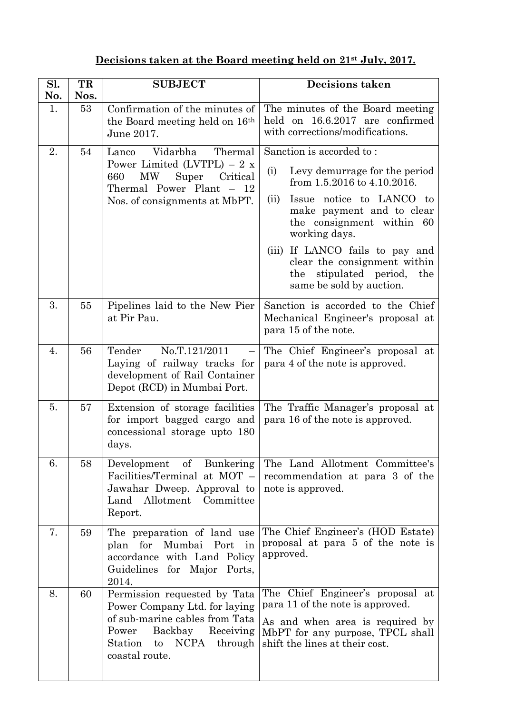## **Decisions taken at the Board meeting held on 21st July, 2017.**

| Sl.<br>No. | TR<br>Nos. | <b>SUBJECT</b>                                                                                                                                                                                   | Decisions taken                                                                                                                                                                                                                                                                                                                                         |
|------------|------------|--------------------------------------------------------------------------------------------------------------------------------------------------------------------------------------------------|---------------------------------------------------------------------------------------------------------------------------------------------------------------------------------------------------------------------------------------------------------------------------------------------------------------------------------------------------------|
| 1.         | 53         | Confirmation of the minutes of<br>the Board meeting held on 16 <sup>th</sup><br>June 2017.                                                                                                       | The minutes of the Board meeting<br>held on 16.6.2017 are confirmed<br>with corrections/modifications.                                                                                                                                                                                                                                                  |
| 2.         | 54         | Vidarbha<br>Thermal<br>Lanco<br>Power Limited (LVTPL) $-2 x$<br>Critical<br>660<br><b>MW</b><br>Super<br>Thermal Power Plant - 12<br>Nos. of consignments at MbPT.                               | Sanction is accorded to:<br>Levy demurrage for the period<br>(i)<br>from 1.5.2016 to 4.10.2016.<br>Issue notice to LANCO to<br>(ii)<br>make payment and to clear<br>the consignment within<br>60<br>working days.<br>If LANCO fails to pay and<br>(iii)<br>clear the consignment within<br>stipulated period,<br>the<br>the<br>same be sold by auction. |
| 3.         | 55         | Pipelines laid to the New Pier<br>at Pir Pau.                                                                                                                                                    | Sanction is accorded to the Chief<br>Mechanical Engineer's proposal at<br>para 15 of the note.                                                                                                                                                                                                                                                          |
| 4.         | 56         | Tender<br>No.T.121/2011<br>Laying of railway tracks for<br>development of Rail Container<br>Depot (RCD) in Mumbai Port.                                                                          | The Chief Engineer's proposal at<br>para 4 of the note is approved.                                                                                                                                                                                                                                                                                     |
| 5.         | 57         | Extension of storage facilities<br>for import bagged cargo and<br>concessional storage upto 180<br>days.                                                                                         | The Traffic Manager's proposal at<br>para 16 of the note is approved.                                                                                                                                                                                                                                                                                   |
| 6.         | 58         | Development of<br>Bunkering<br>Facilities/Terminal at MOT -<br>Jawahar Dweep. Approval to<br>Land Allotment Committee<br>Report.                                                                 | The Land Allotment Committee's<br>recommendation at para 3 of the<br>note is approved.                                                                                                                                                                                                                                                                  |
| 7.         | 59         | The preparation of land use<br>plan for<br>Mumbai<br>Port<br>in<br>accordance with Land Policy<br>for Major<br>Guidelines<br>Ports,<br>2014.                                                     | The Chief Engineer's (HOD Estate)<br>proposal at para 5 of the note is<br>approved.                                                                                                                                                                                                                                                                     |
| 8.         | 60         | Permission requested by Tata<br>Power Company Ltd. for laying<br>of sub-marine cables from Tata<br>Backbay<br>Power<br>Receiving<br>NCPA<br>Station<br>through<br>$\mathbf{t}$<br>coastal route. | The Chief Engineer's proposal at<br>para 11 of the note is approved.<br>As and when area is required by<br>MbPT for any purpose, TPCL shall<br>shift the lines at their cost.                                                                                                                                                                           |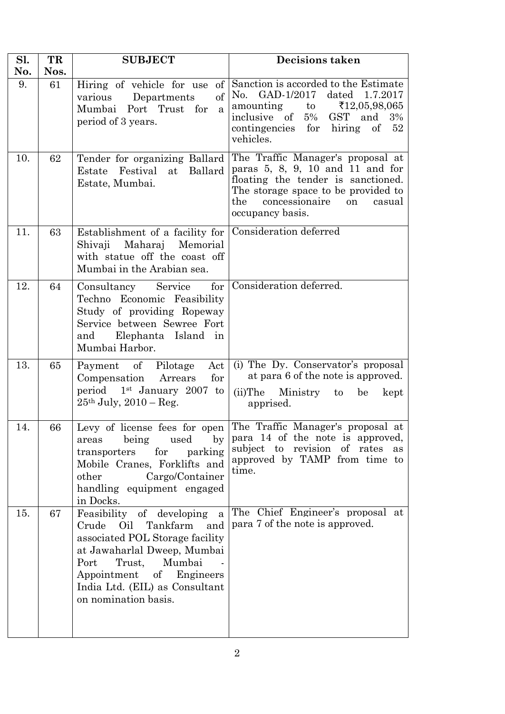| Sl.<br>No. | TR<br>Nos. | <b>SUBJECT</b>                                                                                                                                                                                                                                                | Decisions taken                                                                                                                                                                                                                                           |
|------------|------------|---------------------------------------------------------------------------------------------------------------------------------------------------------------------------------------------------------------------------------------------------------------|-----------------------------------------------------------------------------------------------------------------------------------------------------------------------------------------------------------------------------------------------------------|
| 9.         | 61         | of<br>Hiring of vehicle for use<br>of<br>Departments<br>various<br>Mumbai Port Trust for<br>$\mathbf{a}$<br>period of 3 years.                                                                                                                                | Sanction is accorded to the Estimate<br>No. GAD-1/2017<br>dated 1.7.2017<br>amounting<br>$\mathop{\mathrm{to}}$<br>$\text{\textsterling}12,05,98,065$<br>inclusive of<br>$5\%$<br>GST and<br>3%<br>contingencies<br>for<br>hiring<br>of $52$<br>vehicles. |
| 10.        | 62         | Tender for organizing Ballard<br>Festival<br>Ballard<br>Estate<br>at<br>Estate, Mumbai.                                                                                                                                                                       | The Traffic Manager's proposal at<br>paras $5, 8, 9, 10$ and $11$ and for<br>floating the tender is sanctioned.<br>The storage space to be provided to<br>the<br>concessionaire<br>on<br>casual<br>occupancy basis.                                       |
| 11.        | 63         | Establishment of a facility for<br>Shivaji<br>Maharaj<br>Memorial<br>with statue off the coast off<br>Mumbai in the Arabian sea.                                                                                                                              | Consideration deferred                                                                                                                                                                                                                                    |
| 12.        | 64         | Service<br>for<br>Consultancy<br>Techno Economic Feasibility<br>Study of providing Ropeway<br>Service between Sewree Fort<br>Elephanta Island in<br>and<br>Mumbai Harbor.                                                                                     | Consideration deferred.                                                                                                                                                                                                                                   |
| 13.        | 65         | Payment of Pilotage<br>Act<br>for<br>Compensation<br>Arrears<br>period 1 <sup>st</sup> January 2007 to<br>$25th$ July, $2010 - Reg$ .                                                                                                                         | (i) The Dy. Conservator's proposal<br>at para 6 of the note is approved.<br>(ii)The Ministry to<br>be<br>kept<br>apprised.                                                                                                                                |
| 14.        | 66         | being used by<br>areas<br>parking<br>for<br>transporters<br>Mobile Cranes, Forklifts and<br>Cargo/Container<br>other<br>handling equipment engaged<br>in Docks.                                                                                               | Levy of license fees for open The Traffic Manager's proposal at<br>para 14 of the note is approved,<br>subject to revision of rates<br>as<br>approved by TAMP from time to<br>time.                                                                       |
| 15.        | 67         | Feasibility of developing<br>$\mathbf{a}$<br>Oil<br>Crude<br>Tankfarm<br>and<br>associated POL Storage facility<br>at Jawaharlal Dweep, Mumbai<br>Trust, Mumbai<br>Port<br>Appointment of Engineers<br>India Ltd. (EIL) as Consultant<br>on nomination basis. | The Chief Engineer's proposal at<br>para 7 of the note is approved.                                                                                                                                                                                       |